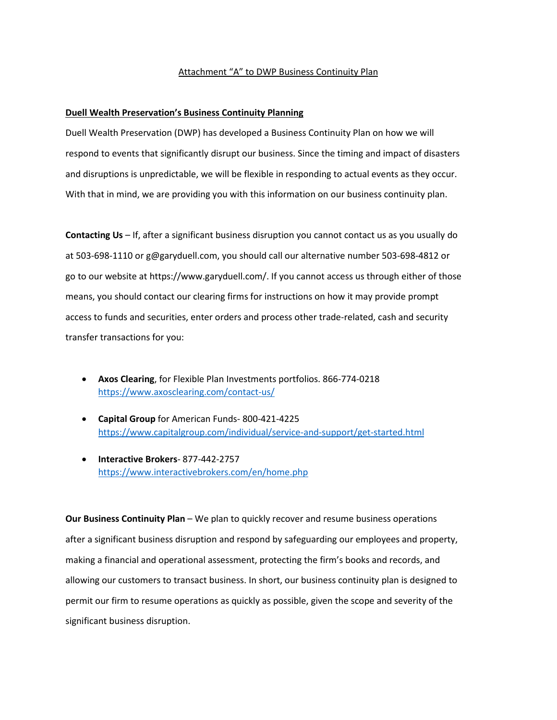## Attachment "A" to DWP Business Continuity Plan

## **Duell Wealth Preservation's Business Continuity Planning**

Duell Wealth Preservation (DWP) has developed a Business Continuity Plan on how we will respond to events that significantly disrupt our business. Since the timing and impact of disasters and disruptions is unpredictable, we will be flexible in responding to actual events as they occur. With that in mind, we are providing you with this information on our business continuity plan.

**Contacting Us** – If, after a significant business disruption you cannot contact us as you usually do at 503-698-1110 or g@garyduell.com, you should call our alternative number 503-698-4812 or go to our website at https://www.garyduell.com/. If you cannot access us through either of those means, you should contact our clearing firms for instructions on how it may provide prompt access to funds and securities, enter orders and process other trade-related, cash and security transfer transactions for you:

- **Axos Clearing**, for Flexible Plan Investments portfolios. 866-774-0218 <https://www.axosclearing.com/contact-us/>
- **Capital Group** for American Funds- 800-421-4225 <https://www.capitalgroup.com/individual/service-and-support/get-started.html>
- **Interactive Brokers** 877-442-2757 <https://www.interactivebrokers.com/en/home.php>

**Our Business Continuity Plan** – We plan to quickly recover and resume business operations after a significant business disruption and respond by safeguarding our employees and property, making a financial and operational assessment, protecting the firm's books and records, and allowing our customers to transact business. In short, our business continuity plan is designed to permit our firm to resume operations as quickly as possible, given the scope and severity of the significant business disruption.